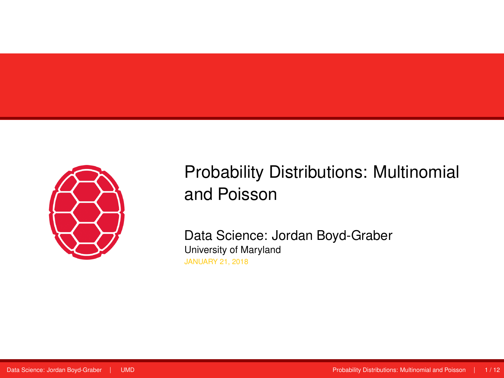<span id="page-0-0"></span>

## Probability Distributions: Multinomial and Poisson

Data Science: Jordan Boyd-Graber University of Maryland JANUARY 21, 2018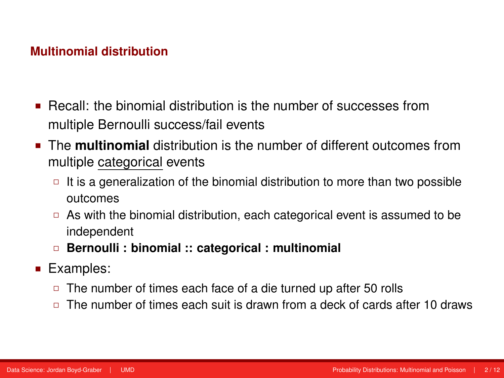- Recall: the binomial distribution is the number of successes from multiple Bernoulli success/fail events
- The **multinomial** distribution is the number of different outcomes from multiple categorical events
	- It is a generalization of the binomial distribution to more than two possible outcomes
	- $\Box$  As with the binomial distribution, each categorical event is assumed to be independent
	- **Bernoulli : binomial :: categorical : multinomial**
- **Examples:** 
	- $\Box$  The number of times each face of a die turned up after 50 rolls
	- $\Box$  The number of times each suit is drawn from a deck of cards after 10 draws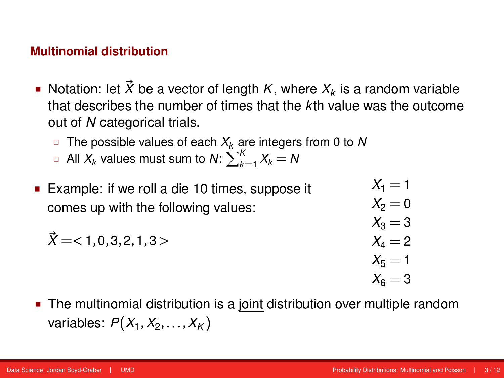- Notation: let  $\vec{X}$  be a vector of length *K*, where  $X_k$  is a random variable that describes the number of times that the *k*th value was the outcome out of *N* categorical trials.
	- The possible values of each *X<sup>k</sup>* are integers from 0 to *N*
	- $\Box$  All  $X_k$  values must sum to  $N: \sum_{k=1}^K X_k = N$
- Example: if we roll a die 10 times, suppose it comes up with the following values:

$$
\vec{X} = <1, 0, 3, 2, 1, 3>
$$

$$
X_2 = 0X_3 = 3X_4 = 2X_5 = 1X_6 = 3
$$

 $X_1 = 1$ 

 The multinomial distribution is a joint distribution over multiple random variables: *P*(*X*<sup>1</sup> ,*X*<sup>2</sup> ,...,*X<sup>K</sup>* )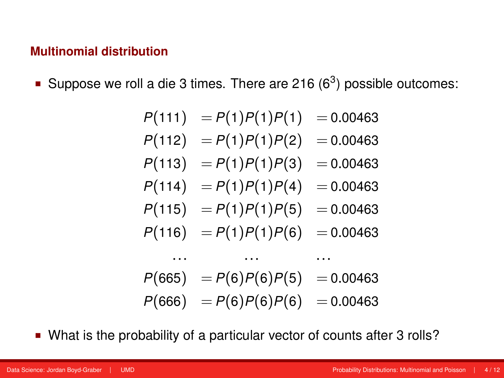**Suppose we roll a die 3 times. There are 216 (6<sup>3</sup>) possible outcomes:** 

$$
P(111) = P(1)P(1)P(1) = 0.00463
$$
  
\n
$$
P(112) = P(1)P(1)P(2) = 0.00463
$$
  
\n
$$
P(113) = P(1)P(1)P(3) = 0.00463
$$
  
\n
$$
P(114) = P(1)P(1)P(4) = 0.00463
$$
  
\n
$$
P(115) = P(1)P(1)P(5) = 0.00463
$$
  
\n
$$
P(116) = P(1)P(1)P(6) = 0.00463
$$
  
\n... ... ...  
\n
$$
P(665) = P(6)P(6)P(6) = 0.00463
$$

What is the probability of a particular vector of counts after 3 rolls?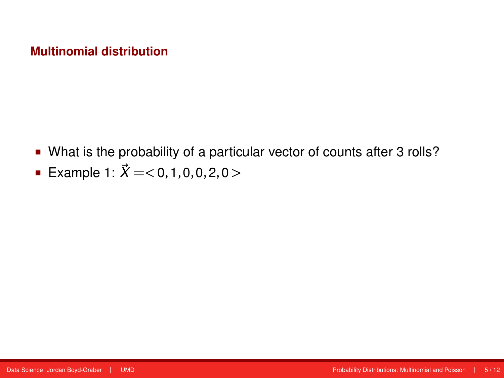- What is the probability of a particular vector of counts after 3 rolls?
- Example 1:  $\vec{X} = < 0, 1, 0, 0, 2, 0 >$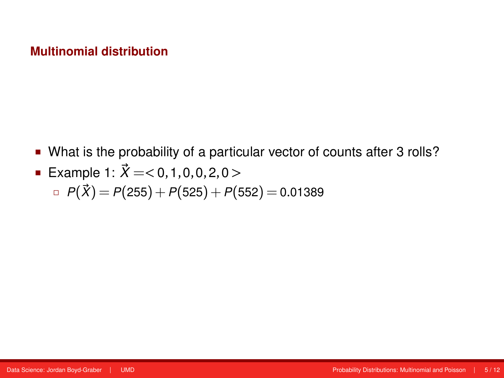- What is the probability of a particular vector of counts after 3 rolls?
- Example 1:  $\vec{X} = < 0, 1, 0, 0, 2, 0 >$ 
	- $P(\vec{X}) = P(255) + P(525) + P(552) = 0.01389$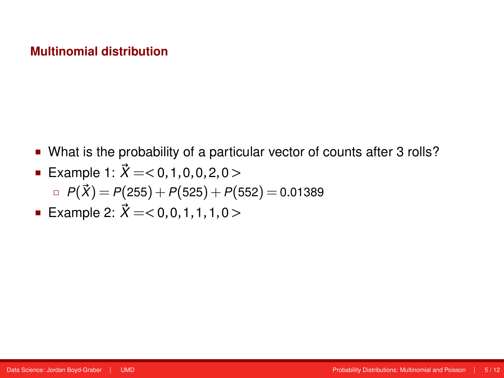- What is the probability of a particular vector of counts after 3 rolls?
- Example 1:  $\vec{X} = < 0, 1, 0, 0, 2, 0 >$ 
	- $P(\vec{X}) = P(255) + P(525) + P(552) = 0.01389$
- Example 2: *X~* =*<* 0,0,1,1,1,0 *>*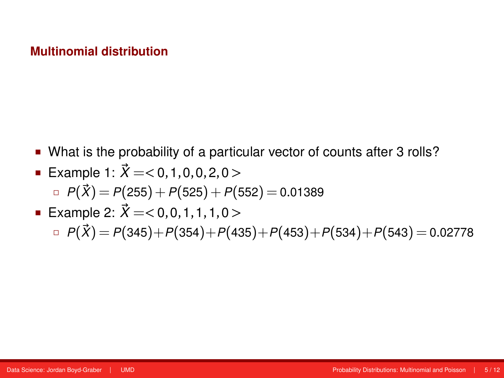What is the probability of a particular vector of counts after 3 rolls?

■ Example 1: 
$$
\vec{X}
$$
 = < 0, 1, 0, 0, 2, 0 >

$$
P(\vec{X}) = P(255) + P(525) + P(552) = 0.01389
$$

# Example 2: *X~* =*<* 0,0,1,1,1,0 *>*  $P(\vec{X}) = P(345) + P(354) + P(435) + P(453) + P(534) + P(543) = 0.02778$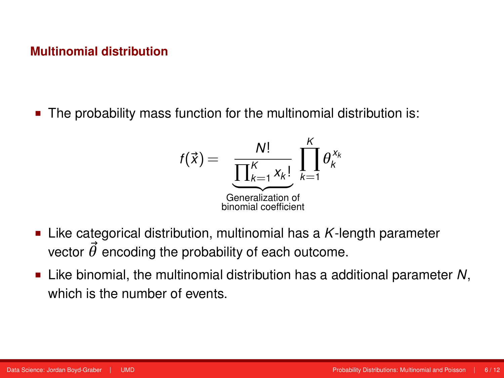The probability mass function for the multinomial distribution is:

$$
f(\vec{x}) = \underbrace{\frac{N!}{\prod_{k=1}^{K} x_k!}}_{\substack{\text{Generalization of} \\ \text{binomial coefficient}}} \prod_{k=1}^{K} \theta_k^{x_k}
$$

- Like categorical distribution, multinomial has a *K*-length parameter vector  $\vec{\theta}$  encoding the probability of each outcome.
- Like binomial, the multinomial distribution has a additional parameter *N*, which is the number of events.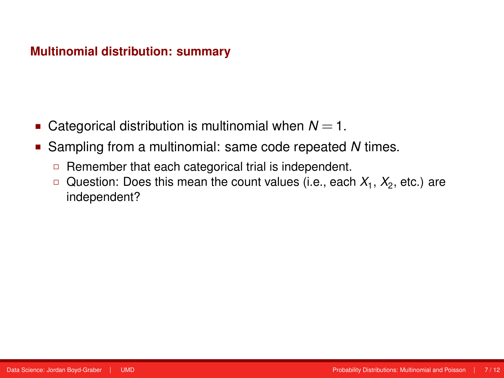#### **Multinomial distribution: summary**

- **Categorical distribution is multinomial when**  $N = 1$ **.**
- Sampling from a multinomial: same code repeated *N* times.
	- □ Remember that each categorical trial is independent.
	- $\Box$  Question: Does this mean the count values (i.e., each  $X_1,$   $X_2$ , etc.) are independent?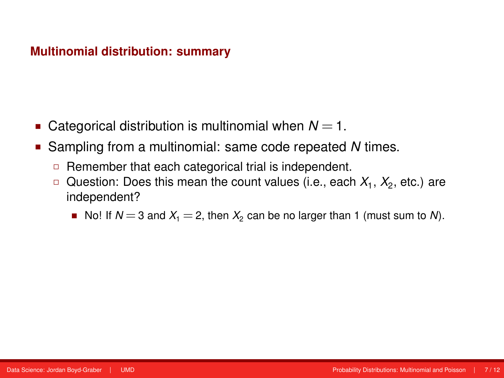#### **Multinomial distribution: summary**

- **Categorical distribution is multinomial when**  $N = 1$ **.**
- Sampling from a multinomial: same code repeated *N* times.
	- $\Box$  Remember that each categorical trial is independent.
	- $\Box$  Question: Does this mean the count values (i.e., each  $X_1,$   $X_2$ , etc.) are independent?
		- No! If  $N = 3$  and  $X_1 = 2$ , then  $X_2$  can be no larger than 1 (must sum to N).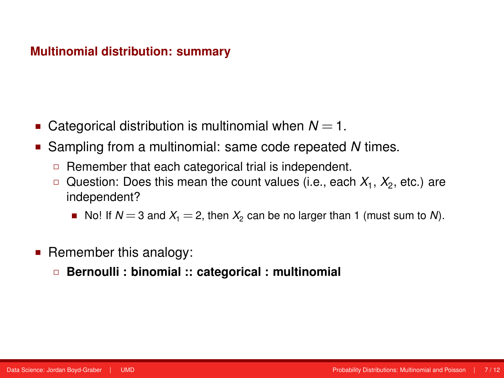#### **Multinomial distribution: summary**

- Categorical distribution is multinomial when  $N = 1$ .
- Sampling from a multinomial: same code repeated *N* times.
	- $\Box$  Remember that each categorical trial is independent.
	- $\Box$  Question: Does this mean the count values (i.e., each  $X_1,$   $X_2$ , etc.) are independent?
		- No! If  $N = 3$  and  $X_1 = 2$ , then  $X_2$  can be no larger than 1 (must sum to N).
- **Remember this analogy:** 
	- **Bernoulli : binomial :: categorical : multinomial**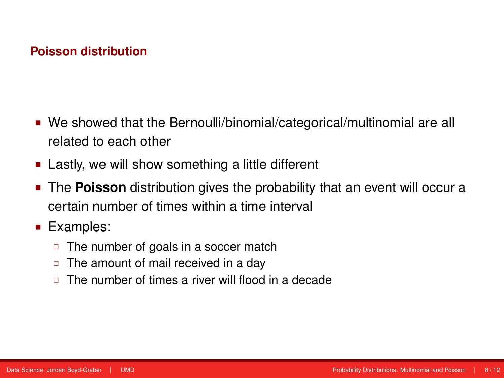- We showed that the Bernoulli/binomial/categorical/multinomial are all related to each other
- **EXECT:** Lastly, we will show something a little different
- **The Poisson** distribution gives the probability that an event will occur a certain number of times within a time interval
- Examples:
	- □ The number of goals in a soccer match
	- $\Box$  The amount of mail received in a day
	- □ The number of times a river will flood in a decade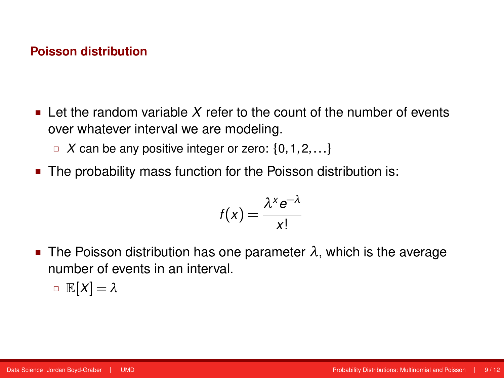- $\blacksquare$  Let the random variable *X* refer to the count of the number of events over whatever interval we are modeling.
	- $\Box$  *X* can be any positive integer or zero: {0, 1, 2, ...}
- The probability mass function for the Poisson distribution is:

$$
f(x) = \frac{\lambda^x e^{-\lambda}}{x!}
$$

The Poisson distribution has one parameter  $\lambda$ , which is the average number of events in an interval.

$$
\square \mathbb{E}[X] = \lambda
$$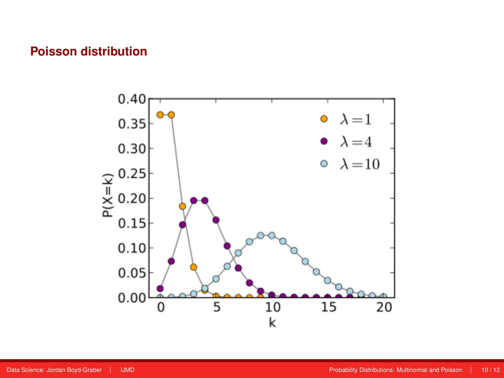